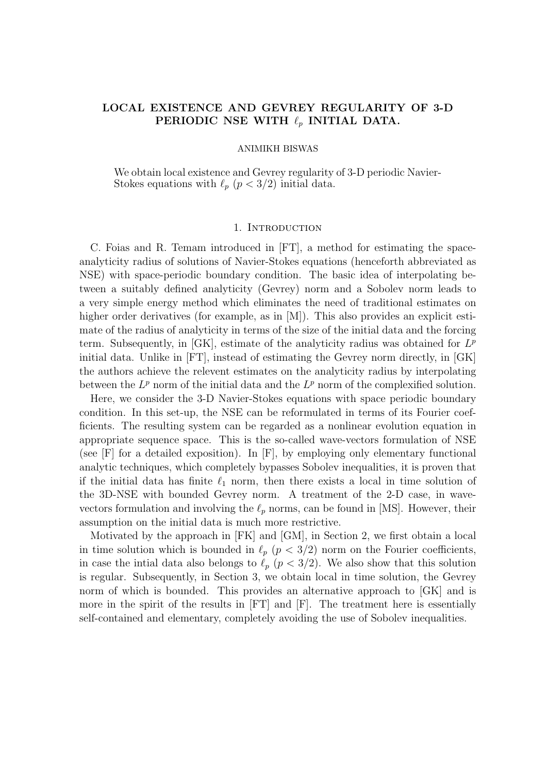# LOCAL EXISTENCE AND GEVREY REGULARITY OF 3-D PERIODIC NSE WITH  $\ell_p$  INITIAL DATA.

#### ANIMIKH BISWAS

We obtain local existence and Gevrey regularity of 3-D periodic Navier-Stokes equations with  $\ell_p$  ( $p < 3/2$ ) initial data.

### 1. INTRODUCTION

C. Foias and R. Temam introduced in [FT], a method for estimating the spaceanalyticity radius of solutions of Navier-Stokes equations (henceforth abbreviated as NSE) with space-periodic boundary condition. The basic idea of interpolating between a suitably defined analyticity (Gevrey) norm and a Sobolev norm leads to a very simple energy method which eliminates the need of traditional estimates on higher order derivatives (for example, as in [M]). This also provides an explicit estimate of the radius of analyticity in terms of the size of the initial data and the forcing term. Subsequently, in [GK], estimate of the analyticity radius was obtained for  $L^p$ initial data. Unlike in [FT], instead of estimating the Gevrey norm directly, in [GK] the authors achieve the relevent estimates on the analyticity radius by interpolating between the  $L^p$  norm of the initial data and the  $L^p$  norm of the complexified solution.

Here, we consider the 3-D Navier-Stokes equations with space periodic boundary condition. In this set-up, the NSE can be reformulated in terms of its Fourier coefficients. The resulting system can be regarded as a nonlinear evolution equation in appropriate sequence space. This is the so-called wave-vectors formulation of NSE (see [F] for a detailed exposition). In [F], by employing only elementary functional analytic techniques, which completely bypasses Sobolev inequalities, it is proven that if the initial data has finite  $\ell_1$  norm, then there exists a local in time solution of the 3D-NSE with bounded Gevrey norm. A treatment of the 2-D case, in wavevectors formulation and involving the  $\ell_p$  norms, can be found in [MS]. However, their assumption on the initial data is much more restrictive.

Motivated by the approach in [FK] and [GM], in Section 2, we first obtain a local in time solution which is bounded in  $\ell_p$  ( $p < 3/2$ ) norm on the Fourier coefficients, in case the intial data also belongs to  $\ell_p$  ( $p < 3/2$ ). We also show that this solution is regular. Subsequently, in Section 3, we obtain local in time solution, the Gevrey norm of which is bounded. This provides an alternative approach to [GK] and is more in the spirit of the results in [FT] and [F]. The treatment here is essentially self-contained and elementary, completely avoiding the use of Sobolev inequalities.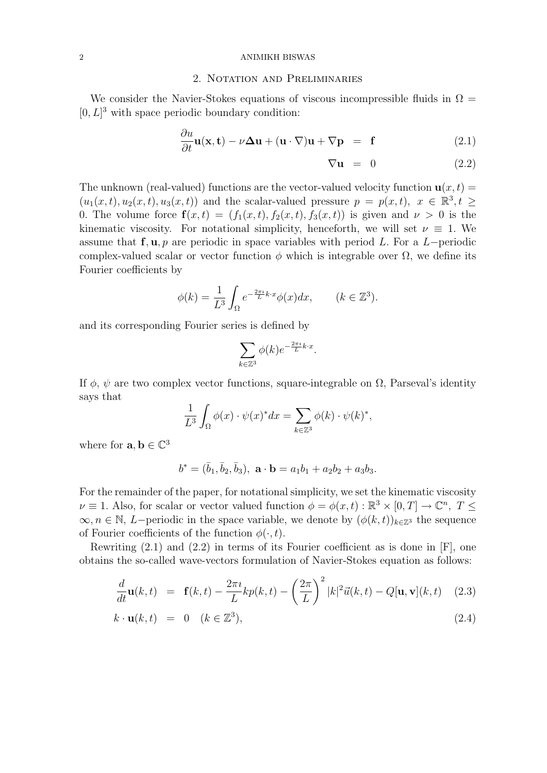#### 2 ANIMIKH BISWAS

### 2. Notation and Preliminaries

We consider the Navier-Stokes equations of viscous incompressible fluids in  $\Omega =$  $[0, L]^3$  with space periodic boundary condition:

$$
\frac{\partial u}{\partial t}\mathbf{u}(\mathbf{x}, \mathbf{t}) - \nu \Delta \mathbf{u} + (\mathbf{u} \cdot \nabla)\mathbf{u} + \nabla \mathbf{p} = \mathbf{f}
$$
 (2.1)

$$
\nabla \mathbf{u} = 0 \tag{2.2}
$$

The unknown (real-valued) functions are the vector-valued velocity function  $\mathbf{u}(x,t)$  $(u_1(x,t), u_2(x,t), u_3(x,t))$  and the scalar-valued pressure  $p = p(x,t), x \in \mathbb{R}^3, t \geq$ 0. The volume force  $f(x,t) = (f_1(x,t), f_2(x,t), f_3(x,t))$  is given and  $\nu > 0$  is the kinematic viscosity. For notational simplicity, henceforth, we will set  $\nu \equiv 1$ . We assume that  $f, u, p$  are periodic in space variables with period L. For a L-periodic complex-valued scalar or vector function  $\phi$  which is integrable over  $\Omega$ , we define its Fourier coefficients by

$$
\phi(k) = \frac{1}{L^3} \int_{\Omega} e^{-\frac{2\pi i}{L}k \cdot x} \phi(x) dx, \qquad (k \in \mathbb{Z}^3).
$$

and its corresponding Fourier series is defined by

$$
\sum_{k \in \mathbb{Z}^3} \phi(k) e^{-\frac{2\pi i}{L} k \cdot x}
$$

.

If  $\phi$ ,  $\psi$  are two complex vector functions, square-integrable on  $\Omega$ , Parseval's identity says that

$$
\frac{1}{L^3} \int_{\Omega} \phi(x) \cdot \psi(x)^* dx = \sum_{k \in \mathbb{Z}^3} \phi(k) \cdot \psi(k)^*,
$$

where for  $\mathbf{a}, \mathbf{b} \in \mathbb{C}^3$ 

$$
b^* = (\bar{b}_1, \bar{b}_2, \bar{b}_3), \ \mathbf{a} \cdot \mathbf{b} = a_1b_1 + a_2b_2 + a_3b_3.
$$

For the remainder of the paper, for notational simplicity, we set the kinematic viscosity  $\nu \equiv 1$ . Also, for scalar or vector valued function  $\phi = \phi(x, t) : \mathbb{R}^3 \times [0, T] \to \mathbb{C}^n$ ,  $T \leq$  $\infty, n \in \mathbb{N}, L$ -periodic in the space variable, we denote by  $(\phi(k, t))_{k \in \mathbb{Z}^3}$  the sequence of Fourier coefficients of the function  $\phi(\cdot, t)$ .

Rewriting (2.1) and (2.2) in terms of its Fourier coefficient as is done in [F], one obtains the so-called wave-vectors formulation of Navier-Stokes equation as follows:

$$
\frac{d}{dt}\mathbf{u}(k,t) = \mathbf{f}(k,t) - \frac{2\pi i}{L}kp(k,t) - \left(\frac{2\pi}{L}\right)^2 |k|^2 \vec{u}(k,t) - Q[\mathbf{u}, \mathbf{v}](k,t) \quad (2.3)
$$

$$
k \cdot \mathbf{u}(k, t) = 0 \quad (k \in \mathbb{Z}^3), \tag{2.4}
$$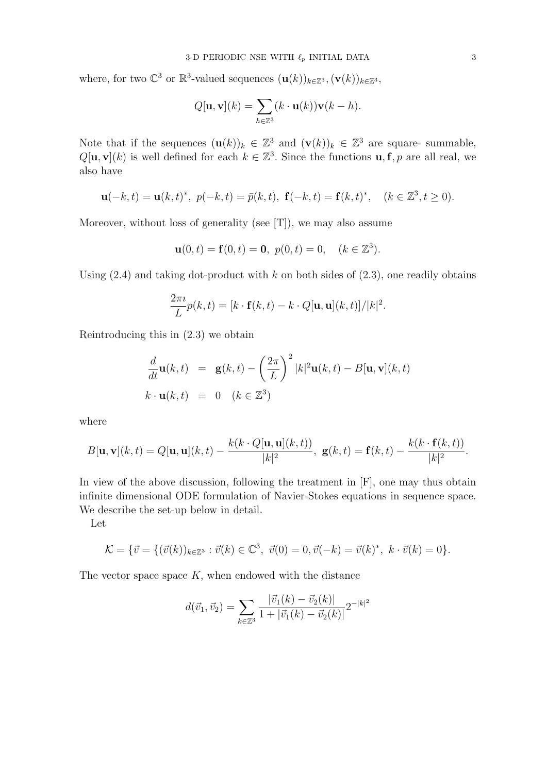where, for two  $\mathbb{C}^3$  or  $\mathbb{R}^3$ -valued sequences  $(\mathbf{u}(k))_{k\in\mathbb{Z}^3}$ ,  $(\mathbf{v}(k))_{k\in\mathbb{Z}^3}$ ,

$$
Q[\mathbf{u}, \mathbf{v}](k) = \sum_{h \in \mathbb{Z}^3} (k \cdot \mathbf{u}(k)) \mathbf{v}(k-h).
$$

Note that if the sequences  $(\mathbf{u}(k))_k \in \mathbb{Z}^3$  and  $(\mathbf{v}(k))_k \in \mathbb{Z}^3$  are square-summable,  $Q[\mathbf{u}, \mathbf{v}](k)$  is well defined for each  $k \in \mathbb{Z}^3$ . Since the functions  $\mathbf{u}, \mathbf{f}, p$  are all real, we also have

$$
\mathbf{u}(-k,t) = \mathbf{u}(k,t)^*, \ p(-k,t) = \bar{p}(k,t), \ \mathbf{f}(-k,t) = \mathbf{f}(k,t)^*, \quad (k \in \mathbb{Z}^3, t \ge 0).
$$

Moreover, without loss of generality (see [T]), we may also assume

$$
\mathbf{u}(0,t) = \mathbf{f}(0,t) = \mathbf{0}, \ p(0,t) = 0, \quad (k \in \mathbb{Z}^3).
$$

Using  $(2.4)$  and taking dot-product with k on both sides of  $(2.3)$ , one readily obtains

$$
\frac{2\pi i}{L}p(k,t) = [k \cdot \mathbf{f}(k,t) - k \cdot Q[\mathbf{u}, \mathbf{u}](k,t)]/|k|^2.
$$

Reintroducing this in (2.3) we obtain

$$
\frac{d}{dt}\mathbf{u}(k,t) = \mathbf{g}(k,t) - \left(\frac{2\pi}{L}\right)^2 |k|^2 \mathbf{u}(k,t) - B[\mathbf{u}, \mathbf{v}](k,t)
$$
\n
$$
k \cdot \mathbf{u}(k,t) = 0 \quad (k \in \mathbb{Z}^3)
$$

where

$$
B[\mathbf{u},\mathbf{v}](k,t) = Q[\mathbf{u},\mathbf{u}](k,t) - \frac{k(k \cdot Q[\mathbf{u},\mathbf{u}](k,t))}{|k|^2}, \ \mathbf{g}(k,t) = \mathbf{f}(k,t) - \frac{k(k \cdot \mathbf{f}(k,t))}{|k|^2}.
$$

In view of the above discussion, following the treatment in  $[F]$ , one may thus obtain infinite dimensional ODE formulation of Navier-Stokes equations in sequence space. We describe the set-up below in detail.

Let

$$
\mathcal{K} = \{ \vec{v} = \{ (\vec{v}(k))_{k \in \mathbb{Z}^3} : \vec{v}(k) \in \mathbb{C}^3, \ \vec{v}(0) = 0, \vec{v}(-k) = \vec{v}(k)^*, \ k \cdot \vec{v}(k) = 0 \}.
$$

The vector space space  $K$ , when endowed with the distance

$$
d(\vec{v}_1, \vec{v}_2) = \sum_{k \in \mathbb{Z}^3} \frac{|\vec{v}_1(k) - \vec{v}_2(k)|}{1 + |\vec{v}_1(k) - \vec{v}_2(k)|} 2^{-|k|^2}
$$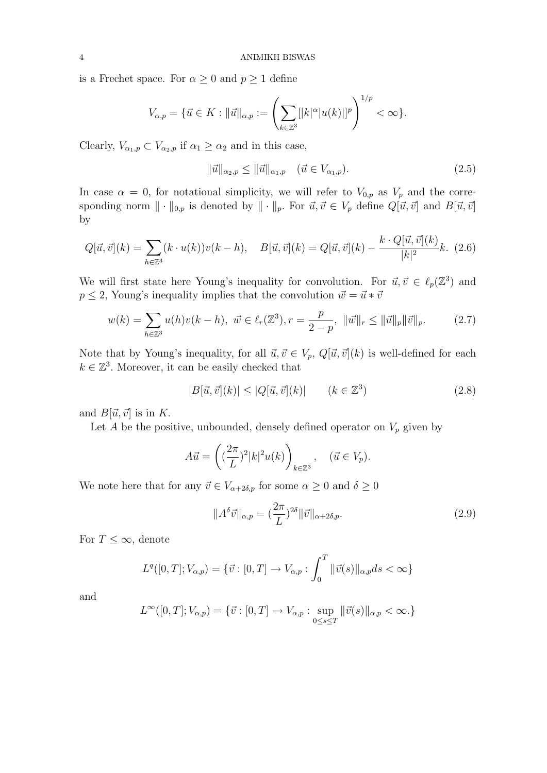is a Frechet space. For  $\alpha \geq 0$  and  $p \geq 1$  define

$$
V_{\alpha,p} = \{ \vec{u} \in K : ||\vec{u}||_{\alpha,p} := \left( \sum_{k \in \mathbb{Z}^3} [|k|^{\alpha}|u(k)|]^p \right)^{1/p} < \infty \}.
$$

Clearly,  $V_{\alpha_1,p} \subset V_{\alpha_2,p}$  if  $\alpha_1 \geq \alpha_2$  and in this case,

$$
\|\vec{u}\|_{\alpha_2,p} \le \|\vec{u}\|_{\alpha_1,p} \quad (\vec{u} \in V_{\alpha_1,p}).
$$
\n(2.5)

In case  $\alpha = 0$ , for notational simplicity, we will refer to  $V_{0,p}$  as  $V_p$  and the corresponding norm  $\|\cdot\|_{0,p}$  is denoted by  $\|\cdot\|_p$ . For  $\vec{u}, \vec{v} \in V_p$  define  $Q[\vec{u}, \vec{v}]$  and  $B[\vec{u}, \vec{v}]$ by

$$
Q[\vec{u}, \vec{v}](k) = \sum_{h \in \mathbb{Z}^3} (k \cdot u(k)) v(k-h), \quad B[\vec{u}, \vec{v}](k) = Q[\vec{u}, \vec{v}](k) - \frac{k \cdot Q[\vec{u}, \vec{v}](k)}{|k|^2} k. \tag{2.6}
$$

We will first state here Young's inequality for convolution. For  $\vec{u}, \vec{v} \in \ell_p(\mathbb{Z}^3)$  and  $p \leq 2$ , Young's inequality implies that the convolution  $\vec{w} = \vec{u} * \vec{v}$ 

$$
w(k) = \sum_{h \in \mathbb{Z}^3} u(h)v(k-h), \ \vec{w} \in \ell_r(\mathbb{Z}^3), r = \frac{p}{2-p}, \ \|\vec{w}\|_r \le \|\vec{u}\|_p \|\vec{v}\|_p. \tag{2.7}
$$

Note that by Young's inequality, for all  $\vec{u}, \vec{v} \in V_p$ ,  $Q[\vec{u}, \vec{v}](k)$  is well-defined for each  $k \in \mathbb{Z}^3$ . Moreover, it can be easily checked that

$$
|B[\vec{u},\vec{v}](k)| \le |Q[\vec{u},\vec{v}](k)| \qquad (k \in \mathbb{Z}^3)
$$
\n
$$
(2.8)
$$

and  $B[\vec{u}, \vec{v}]$  is in K.

Let A be the positive, unbounded, densely defined operator on  $V_p$  given by

$$
A\vec{u} = \left( (\frac{2\pi}{L})^2 |k|^2 u(k) \right)_{k \in \mathbb{Z}^3}, \quad (\vec{u} \in V_p).
$$

We note here that for any  $\vec{v} \in V_{\alpha+2\delta,p}$  for some  $\alpha \geq 0$  and  $\delta \geq 0$ 

$$
||A^{\delta}\vec{v}||_{\alpha,p} = \left(\frac{2\pi}{L}\right)^{2\delta} ||\vec{v}||_{\alpha+2\delta,p}.
$$
\n(2.9)

For  $T \leq \infty$ , denote

$$
L^{q}([0, T]; V_{\alpha,p}) = \{\vec{v} : [0, T] \to V_{\alpha,p} : \int_{0}^{T} ||\vec{v}(s)||_{\alpha,p} ds < \infty\}
$$

and

$$
L^{\infty}([0,T];V_{\alpha,p}) = \{\vec{v} : [0,T] \to V_{\alpha,p} : \sup_{0 \le s \le T} ||\vec{v}(s)||_{\alpha,p} < \infty.\}
$$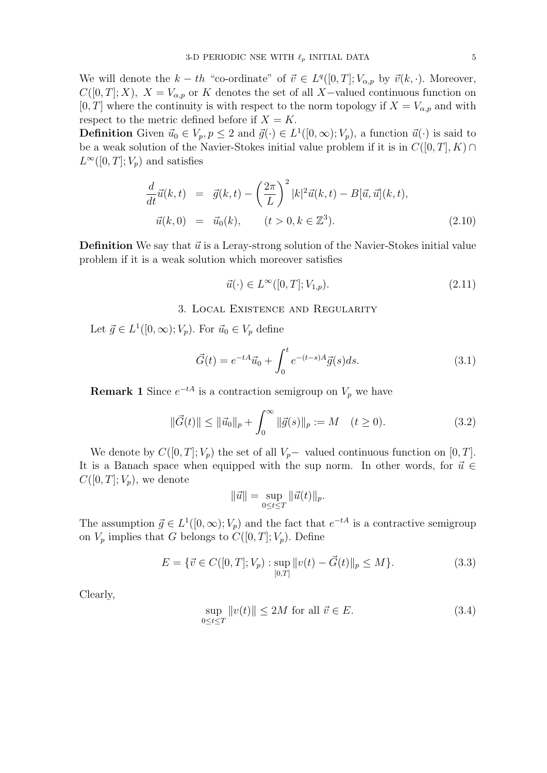We will denote the  $k-th$  "co-ordinate" of  $\vec{v} \in L^q([0,T]; V_{\alpha,p}$  by  $\vec{v}(k, \cdot)$ . Moreover,  $C([0, T]; X)$ ,  $X = V_{\alpha, p}$  or K denotes the set of all X-valued continuous function on [0, T] where the continuity is with respect to the norm topology if  $X = V_{\alpha,p}$  and with respect to the metric defined before if  $X = K$ .

**Definition** Given  $\vec{u}_0 \in V_p$ ,  $p \leq 2$  and  $\vec{g}(\cdot) \in L^1([0,\infty); V_p)$ , a function  $\vec{u}(\cdot)$  is said to be a weak solution of the Navier-Stokes initial value problem if it is in  $C([0, T], K) \cap$  $L^{\infty}([0,T]; V_p)$  and satisfies

$$
\frac{d}{dt}\vec{u}(k,t) = \vec{g}(k,t) - \left(\frac{2\pi}{L}\right)^2 |k|^2 \vec{u}(k,t) - B[\vec{u}, \vec{u}](k,t),
$$
  

$$
\vec{u}(k,0) = \vec{u}_0(k), \qquad (t > 0, k \in \mathbb{Z}^3).
$$
 (2.10)

**Definition** We say that  $\vec{u}$  is a Leray-strong solution of the Navier-Stokes initial value problem if it is a weak solution which moreover satisfies

$$
\vec{u}(\cdot) \in L^{\infty}([0, T]; V_{1, p}).
$$
\n(2.11)

### 3. Local Existence and Regularity

Let  $\vec{g} \in L^1([0,\infty); V_p)$ . For  $\vec{u}_0 \in V_p$  define

$$
\vec{G}(t) = e^{-tA}\vec{u}_0 + \int_0^t e^{-(t-s)A}\vec{g}(s)ds.
$$
 (3.1)

**Remark 1** Since  $e^{-tA}$  is a contraction semigroup on  $V_p$  we have

$$
\|\vec{G}(t)\| \le \|\vec{u}_0\|_p + \int_0^\infty \|\vec{g}(s)\|_p := M \quad (t \ge 0).
$$
 (3.2)

We denote by  $C([0, T]; V_p)$  the set of all  $V_p$  valued continuous function on [0, T]. It is a Banach space when equipped with the sup norm. In other words, for  $\vec{u} \in$  $C([0,T];V_p)$ , we denote

$$
\|\vec{u}\| = \sup_{0 \le t \le T} \|\vec{u}(t)\|_p.
$$

The assumption  $\vec{g} \in L^1([0,\infty); V_p)$  and the fact that  $e^{-tA}$  is a contractive semigroup on  $V_p$  implies that G belongs to  $C([0, T]; V_p)$ . Define

$$
E = \{ \vec{v} \in C([0, T]; V_p) : \sup_{[0, T]} ||v(t) - \vec{G}(t)||_p \le M \}. \tag{3.3}
$$

Clearly,

$$
\sup_{0 \le t \le T} ||v(t)|| \le 2M \text{ for all } \vec{v} \in E. \tag{3.4}
$$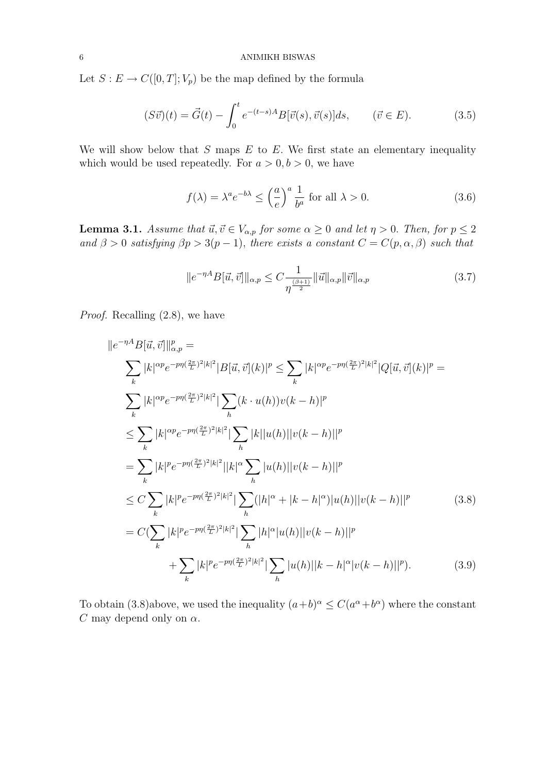Let  $S: E \to C([0,T]; V_p)$  be the map defined by the formula

$$
(S\vec{v})(t) = \vec{G}(t) - \int_0^t e^{-(t-s)A} B[\vec{v}(s), \vec{v}(s)]ds, \qquad (\vec{v} \in E). \tag{3.5}
$$

We will show below that  $S$  maps  $E$  to  $E$ . We first state an elementary inequality which would be used repeatedly. For  $a > 0, b > 0$ , we have

$$
f(\lambda) = \lambda^a e^{-b\lambda} \le \left(\frac{a}{e}\right)^a \frac{1}{b^a} \text{ for all } \lambda > 0.
$$
 (3.6)

**Lemma 3.1.** Assume that  $\vec{u}, \vec{v} \in V_{\alpha,p}$  for some  $\alpha \geq 0$  and let  $\eta > 0$ . Then, for  $p \leq 2$ and  $\beta > 0$  satisfying  $\beta p > 3(p-1)$ , there exists a constant  $C = C(p, \alpha, \beta)$  such that

$$
||e^{-\eta A}B[\vec{u},\vec{v}]||_{\alpha,p} \le C \frac{1}{\eta^{\frac{(\beta+1)}{2}}} ||\vec{u}||_{\alpha,p} ||\vec{v}||_{\alpha,p}
$$
(3.7)

Proof. Recalling (2.8), we have

$$
||e^{-\eta A}B[\vec{u},\vec{v}]||_{\alpha,p}^{p} =
$$
\n
$$
\sum_{k} |k|^{\alpha p} e^{-p\eta(\frac{2\pi}{L})^{2}|k|^{2}} |B[\vec{u},\vec{v}](k)|^{p} \leq \sum_{k} |k|^{\alpha p} e^{-p\eta(\frac{2\pi}{L})^{2}|k|^{2}} |Q[\vec{u},\vec{v}](k)|^{p} =
$$
\n
$$
\sum_{k} |k|^{\alpha p} e^{-p\eta(\frac{2\pi}{L})^{2}|k|^{2}} |\sum_{h} (k \cdot u(h))v(k-h)|^{p}
$$
\n
$$
\leq \sum_{k} |k|^{\alpha p} e^{-p\eta(\frac{2\pi}{L})^{2}|k|^{2}} |\sum_{h} |k||u(h)||v(k-h)||^{p}
$$
\n
$$
= \sum_{k} |k|^{p} e^{-p\eta(\frac{2\pi}{L})^{2}|k|^{2}} |\sum_{h} |u(h)||v(k-h)||^{p}
$$
\n
$$
\leq C \sum_{k} |k|^{p} e^{-p\eta(\frac{2\pi}{L})^{2}|k|^{2}} |\sum_{h} (|h|^{\alpha} + |k-h|^{\alpha}) |u(h)||v(k-h)||^{p}
$$
\n
$$
= C(\sum_{k} |k|^{p} e^{-p\eta(\frac{2\pi}{L})^{2}|k|^{2}} |\sum_{h} |h|^{\alpha} |u(h)||v(k-h)||^{p}
$$
\n
$$
+ \sum_{k} |k|^{p} e^{-p\eta(\frac{2\pi}{L})^{2}|k|^{2}} |\sum_{h} |u(h)||k-h|^{\alpha} |v(k-h)||^{p}). \qquad (3.9)
$$

To obtain (3.8)above, we used the inequality  $(a+b)^{\alpha} \leq C(a^{\alpha}+b^{\alpha})$  where the constant C may depend only on  $\alpha$ .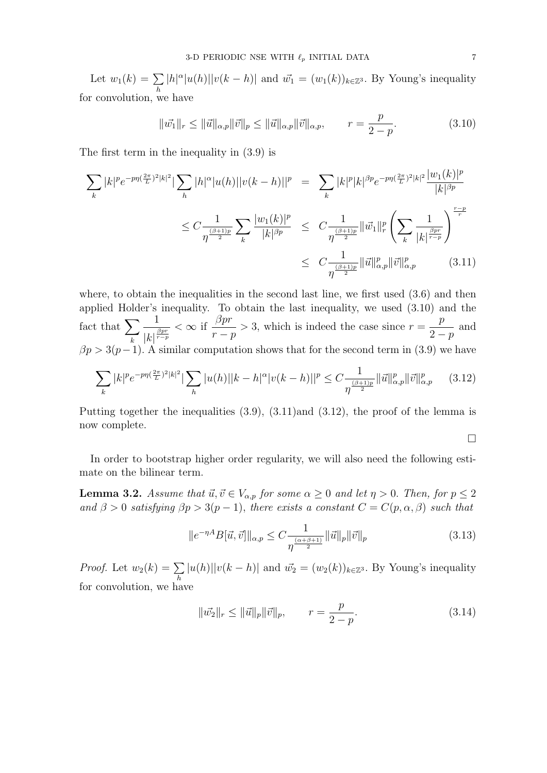Let  $w_1(k) = \sum$ h  $|h|^\alpha |u(h)||v(k-h)|$  and  $\vec{w_1} = (w_1(k))_{k \in \mathbb{Z}^3}$ . By Young's inequality for convolution, we have

$$
\|\vec{w_1}\|_r \le \|\vec{u}\|_{\alpha,p} \|\vec{v}\|_p \le \|\vec{u}\|_{\alpha,p} \|\vec{v}\|_{\alpha,p}, \qquad r = \frac{p}{2-p}.
$$
 (3.10)

The first term in the inequality in (3.9) is

$$
\sum_{k} |k|^{p} e^{-p\eta(\frac{2\pi}{L})^{2}|k|^{2}} |\sum_{h} |h|^{\alpha} |u(h)||v(k-h)||^{p} = \sum_{k} |k|^{p} |k|^{\beta p} e^{-p\eta(\frac{2\pi}{L})^{2}|k|^{2}} \frac{|w_{1}(k)|^{p}}{|k|^{\beta p}} \n\leq C \frac{1}{\eta^{\frac{(\beta+1)p}{2}}} \sum_{k} \frac{|w_{1}(k)|^{p}}{|k|^{\beta p}} \leq C \frac{1}{\eta^{\frac{(\beta+1)p}{2}}} ||\vec{w}_{1}||_{r}^{p} \left(\sum_{k} \frac{1}{|k|^{\frac{\beta pr}{r-p}}}\right)^{\frac{r-p}{r}} \n\leq C \frac{1}{\eta^{\frac{(\beta+1)p}{2}}} ||\vec{u}||_{\alpha,p}^{p} ||\vec{v}||_{\alpha,p}^{p}
$$
\n(3.11)

where, to obtain the inequalities in the second last line, we first used  $(3.6)$  and then applied Holder's inequality. To obtain the last inequality, we used (3.10) and the fact that  $\sum$ k 1  $|k|^{\frac{\beta pr}{r-p}}$  $< \infty$  if  $\frac{\beta pr}{\alpha}$  $r - p$  $>$  3, which is indeed the case since  $r =$ p  $2-p$ and  $\beta p > 3(p-1)$ . A similar computation shows that for the second term in (3.9) we have

$$
\sum_{k} |k|^p e^{-p\eta(\frac{2\pi}{L})^2 |k|^2} |\sum_{h} |u(h)||k-h|^{\alpha} |v(k-h)||^p \leq C \frac{1}{\eta^{\frac{(\beta+1)p}{2}}} \|\vec{u}\|_{\alpha,p}^p \|\vec{v}\|_{\alpha,p}^p \tag{3.12}
$$

Putting together the inequalities (3.9), (3.11)and (3.12), the proof of the lemma is now complete.

 $\Box$ 

In order to bootstrap higher order regularity, we will also need the following estimate on the bilinear term.

**Lemma 3.2.** Assume that  $\vec{u}, \vec{v} \in V_{\alpha,p}$  for some  $\alpha \geq 0$  and let  $\eta > 0$ . Then, for  $p \leq 2$ and  $\beta > 0$  satisfying  $\beta p > 3(p-1)$ , there exists a constant  $C = C(p, \alpha, \beta)$  such that

$$
||e^{-\eta A}B[\vec{u},\vec{v}]||_{\alpha,p} \le C \frac{1}{\eta^{\frac{(\alpha+\beta+1)}{2}}} ||\vec{u}||_p ||\vec{v}||_p
$$
\n(3.13)

*Proof.* Let  $w_2(k) = \sum$ h  $|u(h)||v(k-h)|$  and  $\vec{w_2} = (w_2(k))_{k \in \mathbb{Z}^3}$ . By Young's inequality for convolution, we have

$$
\|\vec{w_2}\|_r \le \|\vec{u}\|_p \|\vec{v}\|_p, \qquad r = \frac{p}{2-p}.
$$
\n(3.14)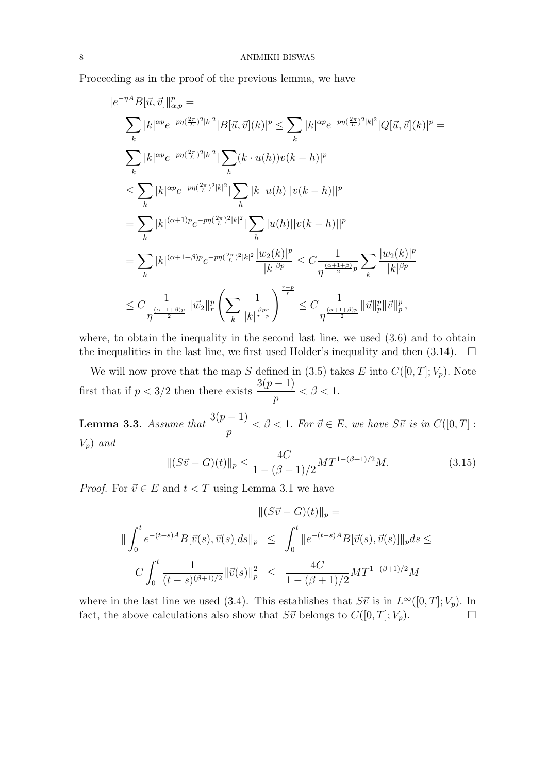Proceeding as in the proof of the previous lemma, we have

$$
||e^{-\eta A}B[\vec{u},\vec{v}]||_{\alpha,p}^{p} =
$$
\n
$$
\sum_{k} |k|^{\alpha p} e^{-p\eta(\frac{2\pi}{L})^{2}|k|^{2}} |B[\vec{u},\vec{v}](k)|^{p} \leq \sum_{k} |k|^{\alpha p} e^{-p\eta(\frac{2\pi}{L})^{2}|k|^{2}} |Q[\vec{u},\vec{v}](k)|^{p} =
$$
\n
$$
\sum_{k} |k|^{\alpha p} e^{-p\eta(\frac{2\pi}{L})^{2}|k|^{2}} |\sum_{h} (k \cdot u(h))v(k-h)|^{p}
$$
\n
$$
\leq \sum_{k} |k|^{\alpha p} e^{-p\eta(\frac{2\pi}{L})^{2}|k|^{2}} |\sum_{h} |k| |u(h)| |v(k-h)||^{p}
$$
\n
$$
= \sum_{k} |k|^{\alpha+1} e^{-p\eta(\frac{2\pi}{L})^{2}|k|^{2}} |\sum_{h} |u(h)| |v(k-h)||^{p}
$$
\n
$$
= \sum_{k} |k|^{\alpha+1+\beta} e^{-p\eta(\frac{2\pi}{L})^{2}|k|^{2}} \frac{|w_{2}(k)|^{p}}{|k|^{\beta p}} \leq C \frac{1}{\eta^{\frac{\alpha+1+\beta}{2}p}} \sum_{k} \frac{|w_{2}(k)|^{p}}{|k|^{\beta p}}
$$
\n
$$
\leq C \frac{1}{\eta^{\frac{(\alpha+1+\beta)p}{2}}} ||\vec{w}_{2}||_{r}^{p} \left( \sum_{k} \frac{1}{|k|^{\frac{\beta p r}{r-p}}} \right)^{\frac{r-p}{r}} \leq C \frac{1}{\eta^{\frac{(\alpha+1+\beta)p}{2}}} ||\vec{u}||_{p}^{p} ||\vec{v}||_{p}^{p},
$$

where, to obtain the inequality in the second last line, we used  $(3.6)$  and to obtain the inequalities in the last line, we first used Holder's inequality and then  $(3.14)$ .  $\Box$ 

We will now prove that the map S defined in (3.5) takes E into  $C([0,T]; V_p)$ . Note first that if  $p < 3/2$  then there exists  $\frac{3(p-1)}{2}$ p  $< \beta < 1$ .

**Lemma 3.3.** Assume that  $\frac{3(p-1)}{p}$ p  $< \beta < 1$ . For  $\vec{v} \in E$ , we have  $S\vec{v}$  is in  $C([0, T]$ :  $V_p$ ) and

$$
||(S\vec{v} - G)(t)||_p \le \frac{4C}{1 - (\beta + 1)/2} MT^{1 - (\beta + 1)/2} M.
$$
\n(3.15)

*Proof.* For  $\vec{v} \in E$  and  $t < T$  using Lemma 3.1 we have

$$
\| (S\vec{v} - G)(t) \|_{p} =
$$
  

$$
\| \int_{0}^{t} e^{-(t-s)A} B[\vec{v}(s), \vec{v}(s)] ds \|_{p} \leq \int_{0}^{t} \| e^{-(t-s)A} B[\vec{v}(s), \vec{v}(s)] \|_{p} ds \leq
$$
  

$$
C \int_{0}^{t} \frac{1}{(t-s)^{(\beta+1)/2}} \|\vec{v}(s)\|_{p}^{2} \leq \frac{4C}{1 - (\beta+1)/2} MT^{1-(\beta+1)/2} M
$$

where in the last line we used (3.4). This establishes that  $S\vec{v}$  is in  $L^{\infty}([0,T]; V_p)$ . In fact, the above calculations also show that  $S\vec{v}$  belongs to  $C([0, T]; V_p)$ .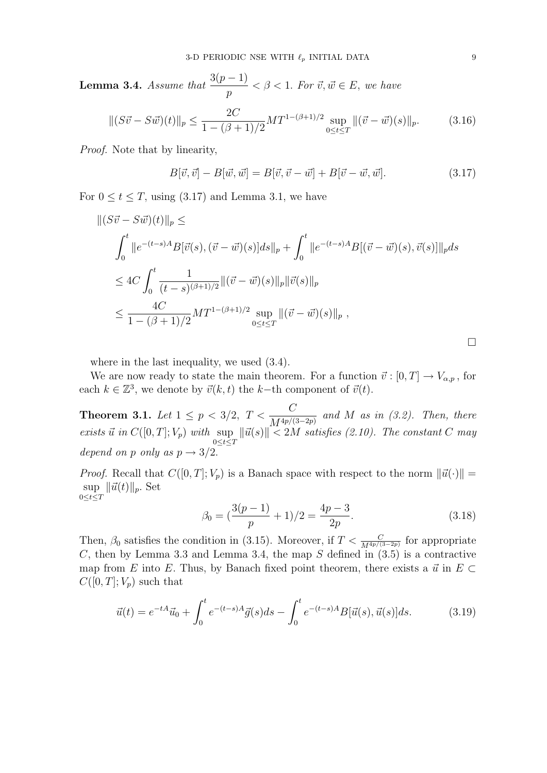**Lemma 3.4.** Assume that  $\frac{3(p-1)}{2}$ p  $< \beta < 1$ . For  $\vec{v}, \vec{w} \in E$ , we have

$$
\|(S\vec{v} - S\vec{w})(t)\|_{p} \le \frac{2C}{1 - (\beta + 1)/2} MT^{1 - (\beta + 1)/2} \sup_{0 \le t \le T} \|(\vec{v} - \vec{w})(s)\|_{p}.
$$
 (3.16)

Proof. Note that by linearity,

$$
B[\vec{v}, \vec{v}] - B[\vec{w}, \vec{w}] = B[\vec{v}, \vec{v} - \vec{w}] + B[\vec{v} - \vec{w}, \vec{w}]. \tag{3.17}
$$

For  $0 \le t \le T$ , using (3.17) and Lemma 3.1, we have

$$
\begin{aligned} ||(S\vec{v} - S\vec{w})(t)||_p &\leq \\ &\int_0^t ||e^{-(t-s)A}B[\vec{v}(s),(\vec{v} - \vec{w})(s)]ds||_p + \int_0^t ||e^{-(t-s)A}B[(\vec{v} - \vec{w})(s),\vec{v}(s)]||_p ds \\ &\leq 4C \int_0^t \frac{1}{(t-s)^{(\beta+1)/2}} ||(\vec{v} - \vec{w})(s)||_p ||\vec{v}(s)||_p \\ &\leq \frac{4C}{1 - (\beta+1)/2} MT^{1 - (\beta+1)/2} \sup_{0 \leq t \leq T} ||(\vec{v} - \vec{w})(s)||_p , \end{aligned}
$$

where in the last inequality, we used (3.4).

We are now ready to state the main theorem. For a function  $\vec{v} : [0, T] \to V_{\alpha, p}$ , for each  $k \in \mathbb{Z}^3$ , we denote by  $\vec{v}(k, t)$  the k-th component of  $\vec{v}(t)$ .

**Theorem 3.1.** Let  $1 \le p < 3/2$ ,  $T < \frac{C}{1.44 \pi r}$  $\overline{M^{4p/(3-2p)}}$  and M as in (3.2). Then, there exists  $\vec{u}$  in  $C([0, T]; V_p)$  with sup  $0 \le t \le T$  $\|\vec{u}(s)\| < 2M$  satisfies (2.10). The constant C may depend on p only as  $p \rightarrow 3/2$ .

*Proof.* Recall that  $C([0, T]; V_p)$  is a Banach space with respect to the norm  $\|\vec{u}(\cdot)\|$  = sup  $\sup_{0\leq t\leq T} \|\vec{u}(t)\|_p$ . Set

$$
\beta_0 = \left(\frac{3(p-1)}{p} + 1\right)/2 = \frac{4p-3}{2p}.\tag{3.18}
$$

Then,  $\beta_0$  satisfies the condition in (3.15). Moreover, if  $T < \frac{C}{M^{4p/(3-2p)}}$  for appropriate C, then by Lemma 3.3 and Lemma 3.4, the map  $S$  defined in  $(3.5)$  is a contractive map from E into E. Thus, by Banach fixed point theorem, there exists a  $\vec{u}$  in  $E \subset$  $C([0,T];V_p)$  such that

$$
\vec{u}(t) = e^{-tA}\vec{u}_0 + \int_0^t e^{-(t-s)A}\vec{g}(s)ds - \int_0^t e^{-(t-s)A}B[\vec{u}(s), \vec{u}(s)]ds.
$$
 (3.19)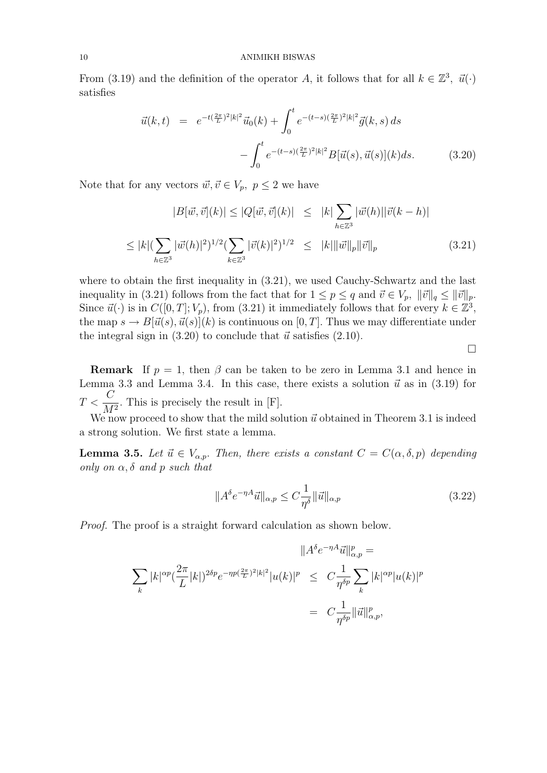#### 10 ANIMIKH BISWAS

From (3.19) and the definition of the operator A, it follows that for all  $k \in \mathbb{Z}^3$ ,  $\vec{u}(\cdot)$ satisfies

$$
\vec{u}(k,t) = e^{-t(\frac{2\pi}{L})^2|k|^2}\vec{u}_0(k) + \int_0^t e^{-(t-s)(\frac{2\pi}{L})^2|k|^2}\vec{g}(k,s) ds
$$

$$
-\int_0^t e^{-(t-s)(\frac{2\pi}{L})^2|k|^2}B[\vec{u}(s), \vec{u}(s)](k) ds. \tag{3.20}
$$

Note that for any vectors  $\vec{w}, \vec{v} \in V_p, p \leq 2$  we have

$$
|B[\vec{w}, \vec{v}](k)| \le |Q[\vec{w}, \vec{v}](k)| \le |k| \sum_{h \in \mathbb{Z}^3} |\vec{w}(h)| |\vec{v}(k - h)|
$$
  

$$
\le |k| (\sum_{h \in \mathbb{Z}^3} |\vec{w}(h)|^2)^{1/2} (\sum_{k \in \mathbb{Z}^3} |\vec{v}(k)|^2)^{1/2} \le |k| \|\vec{w}\|_p \|\vec{v}\|_p
$$
(3.21)

where to obtain the first inequality in (3.21), we used Cauchy-Schwartz and the last inequality in (3.21) follows from the fact that for  $1 \leq p \leq q$  and  $\vec{v} \in V_p$ ,  $\|\vec{v}\|_q \leq \|\vec{v}\|_p$ . Since  $\vec{u}(\cdot)$  is in  $C([0,T]; V_p)$ , from (3.21) it immediately follows that for every  $k \in \mathbb{Z}^3$ , the map  $s \to B[\vec{u}(s), \vec{u}(s)](k)$  is continuous on [0, T]. Thus we may differentiate under the integral sign in  $(3.20)$  to conclude that  $\vec{u}$  satisfies  $(2.10)$ .

**Remark** If  $p = 1$ , then  $\beta$  can be taken to be zero in Lemma 3.1 and hence in Lemma 3.3 and Lemma 3.4. In this case, there exists a solution  $\vec{u}$  as in (3.19) for  $T < \frac{C}{M}$  $\frac{a}{M^2}$ . This is precisely the result in [F].

We now proceed to show that the mild solution  $\vec{u}$  obtained in Theorem 3.1 is indeed a strong solution. We first state a lemma.

**Lemma 3.5.** Let  $\vec{u} \in V_{\alpha,p}$ . Then, there exists a constant  $C = C(\alpha, \delta, p)$  depending only on  $\alpha$ ,  $\delta$  and p such that

$$
||A^{\delta}e^{-\eta A}\vec{u}||_{\alpha,p} \leq C\frac{1}{\eta^{\delta}}||\vec{u}||_{\alpha,p} \tag{3.22}
$$

 $\Box$ 

Proof. The proof is a straight forward calculation as shown below.

$$
||A^{\delta}e^{-\eta A}\vec{u}||_{\alpha,p}^{p} =
$$
  

$$
\sum_{k} |k|^{\alpha p} (\frac{2\pi}{L}|k|)^{2\delta p} e^{-\eta p (\frac{2\pi}{L})^{2}|k|^{2}} |u(k)|^{p} \leq C \frac{1}{\eta^{\delta p}} \sum_{k} |k|^{\alpha p} |u(k)|^{p}
$$
  

$$
= C \frac{1}{\eta^{\delta p}} ||\vec{u}||_{\alpha,p}^{p},
$$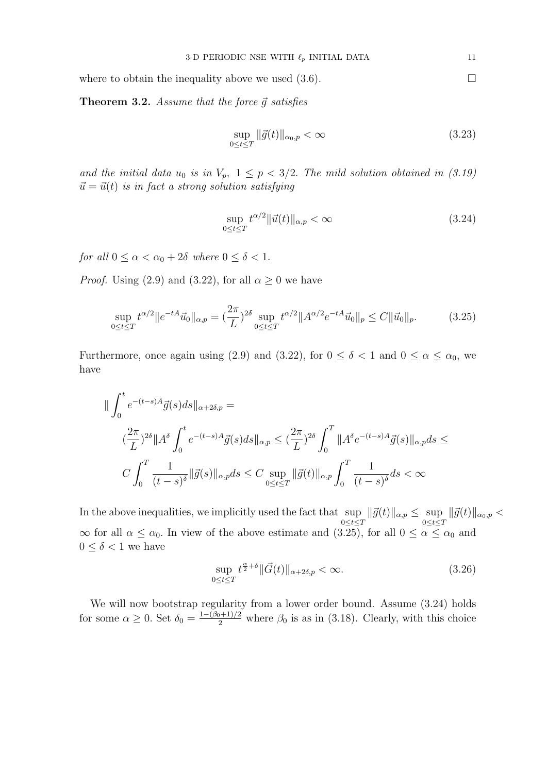where to obtain the inequality above we used  $(3.6)$ .

**Theorem 3.2.** Assume that the force  $\vec{q}$  satisfies

$$
\sup_{0 \le t \le T} \|\vec{g}(t)\|_{\alpha_0, p} < \infty \tag{3.23}
$$

and the initial data  $u_0$  is in  $V_p$ ,  $1 \leq p < 3/2$ . The mild solution obtained in (3.19)  $\vec{u} = \vec{u}(t)$  is in fact a strong solution satisfying

$$
\sup_{0 \le t \le T} t^{\alpha/2} \|\vec{u}(t)\|_{\alpha, p} < \infty \tag{3.24}
$$

for all  $0 \leq \alpha < \alpha_0 + 2\delta$  where  $0 \leq \delta < 1$ .

*Proof.* Using (2.9) and (3.22), for all  $\alpha \geq 0$  we have

$$
\sup_{0 \le t \le T} t^{\alpha/2} \|e^{-tA}\vec{u}_0\|_{\alpha,p} = \left(\frac{2\pi}{L}\right)^{2\delta} \sup_{0 \le t \le T} t^{\alpha/2} \|A^{\alpha/2}e^{-tA}\vec{u}_0\|_p \le C \|\vec{u}_0\|_p. \tag{3.25}
$$

Furthermore, once again using (2.9) and (3.22), for  $0 \le \delta < 1$  and  $0 \le \alpha \le \alpha_0$ , we have

$$
\|\int_0^t e^{-(t-s)A}\vec{g}(s)ds\|_{\alpha+2\delta,p} =
$$
  

$$
(\frac{2\pi}{L})^{2\delta} \|A^{\delta} \int_0^t e^{-(t-s)A}\vec{g}(s)ds\|_{\alpha,p} \leq (\frac{2\pi}{L})^{2\delta} \int_0^T \|A^{\delta}e^{-(t-s)A}\vec{g}(s)\|_{\alpha,p} ds \leq
$$
  

$$
C \int_0^T \frac{1}{(t-s)^{\delta}} \|\vec{g}(s)\|_{\alpha,p} ds \leq C \sup_{0 \leq t \leq T} \|\vec{g}(t)\|_{\alpha,p} \int_0^T \frac{1}{(t-s)^{\delta}} ds < \infty
$$

In the above inequalities, we implicitly used the fact that sup  $\sup_{0 \le t \le T} \|\vec{g}(t)\|_{\alpha,p} \le \sup_{0 \le t \le T} \|\vec{g}(t)\|_{\alpha_0,p}$  $\infty$  for all  $\alpha \leq \alpha_0$ . In view of the above estimate and  $(3.25)$ , for all  $0 \leq \alpha \leq \alpha_0$  and  $0 \leq \delta < 1$  we have

$$
\sup_{0 \le t \le T} t^{\frac{\alpha}{2} + \delta} \|\vec{G}(t)\|_{\alpha + 2\delta, p} < \infty. \tag{3.26}
$$

We will now bootstrap regularity from a lower order bound. Assume (3.24) holds for some  $\alpha \geq 0$ . Set  $\delta_0 = \frac{1 - (\beta_0 + 1)/2}{2}$  where  $\beta_0$  is as in (3.18). Clearly, with this choice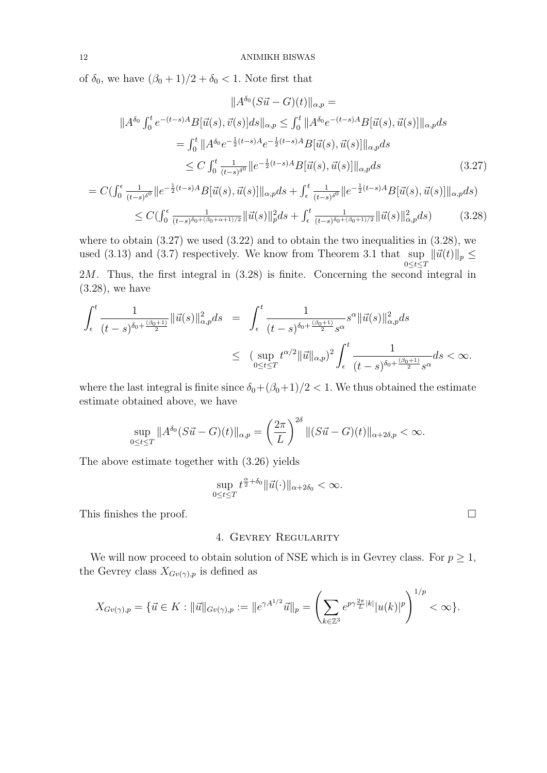of  $\delta_0$ , we have  $(\beta_0 + 1)/2 + \delta_0 < 1$ . Note first that

$$
||A^{\delta_0}(S\vec{u} - G)(t)||_{\alpha,p} =
$$
  
\n
$$
||A^{\delta_0} \int_0^t e^{-(t-s)A} B[\vec{u}(s), \vec{v}(s)] ds||_{\alpha,p} \le \int_0^t ||A^{\delta_0} e^{-(t-s)A} B[\vec{u}(s), \vec{u}(s)]||_{\alpha,p} ds
$$
  
\n
$$
= \int_0^t ||A^{\delta_0} e^{-\frac{1}{2}(t-s)A} e^{-\frac{1}{2}(t-s)A} B[\vec{u}(s), \vec{u}(s)]||_{\alpha,p} ds
$$
  
\n
$$
\le C \int_0^t \frac{1}{(t-s)^{\delta_0}} ||e^{-\frac{1}{2}(t-s)A} B[\vec{u}(s), \vec{u}(s)]||_{\alpha,p} ds
$$
\n(3.27)

$$
= C(\int_0^{\epsilon} \frac{1}{(t-s)^{\delta^0}} \|e^{-\frac{1}{2}(t-s)A} B[\vec{u}(s), \vec{u}(s)]\|_{\alpha, p} ds + \int_{\epsilon}^t \frac{1}{(t-s)^{\delta^0}} \|e^{-\frac{1}{2}(t-s)A} B[\vec{u}(s), \vec{u}(s)]\|_{\alpha, p} ds)
$$
  

$$
\le C(\int_0^{\epsilon} \frac{1}{(t-s)^{\delta_0 + (\beta_0 + \alpha + 1)/2}} \|\vec{u}(s)\|_{p}^2 ds + \int_{\epsilon}^t \frac{1}{(t-s)^{\delta_0 + (\beta_0 + 1)/2}} \|\vec{u}(s)\|_{\alpha, p}^2 ds)
$$
(3.28)

where to obtain  $(3.27)$  we used  $(3.22)$  and to obtain the two inequalities in  $(3.28)$ , we used (3.13) and (3.7) respectively. We know from Theorem 3.1 that sup  $\|\vec{u}(t)\|_p \leq$  $0{\le}t{\le}T$  $2M$ . Thus, the first integral in  $(3.28)$  is finite. Concerning the second integral in (3.28), we have

$$
\int_{\epsilon}^{t} \frac{1}{(t-s)^{\delta_0 + \frac{(\beta_0+1)}{2}}} \|\vec{u}(s)\|_{\alpha,p}^2 ds = \int_{\epsilon}^{t} \frac{1}{(t-s)^{\delta_0 + \frac{(\beta_0+1)}{2}} s^{\alpha}} s^{\alpha} \|\vec{u}(s)\|_{\alpha,p}^2 ds
$$
\n
$$
\leq (\sup_{0 \leq t \leq T} t^{\alpha/2} \|\vec{u}\|_{\alpha,p})^2 \int_{\epsilon}^{t} \frac{1}{(t-s)^{\delta_0 + \frac{(\beta_0+1)}{2}} s^{\alpha}} ds < \infty.
$$

where the last integral is finite since  $\delta_0+(\beta_0+1)/2 < 1$ . We thus obtained the estimate estimate obtained above, we have

$$
\sup_{0 \le t \le T} \|A^{\delta_0} (S\vec{u} - G)(t)\|_{\alpha, p} = \left(\frac{2\pi}{L}\right)^{2\delta} \|(S\vec{u} - G)(t)\|_{\alpha + 2\delta, p} < \infty.
$$

The above estimate together with (3.26) yields

$$
\sup_{0\leq t\leq T}t^{\frac{\alpha}{2}+\delta_0}\|\vec{u}(\cdot)\|_{\alpha+2\delta_0}<\infty.
$$

This finishes the proof.  $\Box$ 

## 4. Gevrey Regularity

We will now proceed to obtain solution of NSE which is in Gevrey class. For  $p \geq 1$ , the Gevrey class  $X_{Gv(\gamma),p}$  is defined as

$$
X_{Gv(\gamma),p} = \{ \vec{u} \in K : ||\vec{u}||_{Gv(\gamma),p} := ||e^{\gamma A^{1/2}} \vec{u}||_p = \left( \sum_{k \in \mathbb{Z}^3} e^{p\gamma \frac{2\pi}{L}|k|} |u(k)|^p \right)^{1/p} < \infty \}.
$$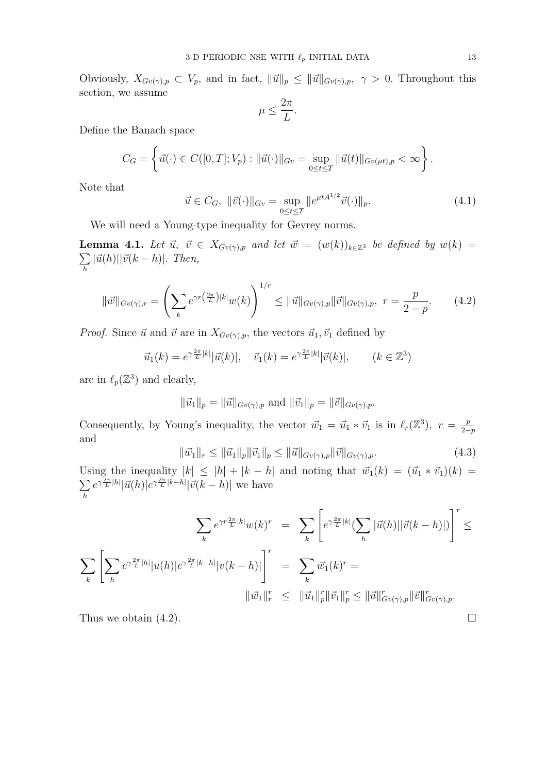Obviously,  $X_{Gv(\gamma),p} \subset V_p$ , and in fact,  $\|\vec{u}\|_p \leq \|\vec{u}\|_{Gv(\gamma),p}, \gamma > 0$ . Throughout this section, we assume

$$
\mu \le \frac{2\pi}{L}.
$$

Define the Banach space

$$
C_G = \left\{ \vec{u}(\cdot) \in C([0,T]; V_p) : ||\vec{u}(\cdot)||_{Gv} = \sup_{0 \le t \le T} ||\vec{u}(t)||_{Gv(\mu t),p} < \infty \right\}.
$$

Note that

$$
\vec{u} \in C_G, \ \|\vec{v}(\cdot)\|_{G_v} = \sup_{0 \le t \le T} \|e^{\mu t A^{1/2}} \vec{v}(\cdot)\|_p. \tag{4.1}
$$

We will need a Young-type inequality for Gevrey norms.

**Lemma 4.1.** Let  $\vec{u}, \ \vec{v} \in X_{Gv(\gamma),p}$  and let  $\vec{w} = (w(k))_{k \in \mathbb{Z}^3}$  be defined by  $w(k) =$  $\sum$ h  $|\vec{u}(h)||\vec{v}(k-h)|.$  Then,

$$
\|\vec{w}\|_{Gv(\gamma),r} = \left(\sum_{k} e^{\gamma r(\frac{2\pi}{L})|k|} w(k)\right)^{1/r} \le \|\vec{u}\|_{Gv(\gamma),p} \|\vec{v}\|_{Gv(\gamma),p}, \ r = \frac{p}{2-p}.\tag{4.2}
$$

*Proof.* Since  $\vec{u}$  and  $\vec{v}$  are in  $X_{Gv(\gamma),p}$ , the vectors  $\vec{u}_1, \vec{v}_1$  defined by

$$
\vec{u}_1(k) = e^{\gamma \frac{2\pi}{L}|k|} |\vec{u}(k)|
$$
,  $\vec{v}_1(k) = e^{\gamma \frac{2\pi}{L}|k|} |\vec{v}(k)|$ ,  $(k \in \mathbb{Z}^3)$ 

are in  $\ell_p(\mathbb{Z}^3)$  and clearly,

$$
\|\vec{u}_1\|_p = \|\vec{u}\|_{Gv(\gamma),p} \text{ and } \|\vec{v}_1\|_p = \|\vec{v}\|_{Gv(\gamma),p}.
$$

Consequently, by Young's inequality, the vector  $\vec{w}_1 = \vec{u}_1 * \vec{v}_1$  is in  $\ell_r(\mathbb{Z}^3)$ ,  $r = \frac{p}{2}$  $2-p$ and

$$
\|\vec{w_1}\|_r \le \|\vec{u_1}\|_p \|\vec{v_1}\|_p \le \|\vec{u}\|_{G^v(\gamma),p} \|\vec{v}\|_{G^v(\gamma),p}.
$$
\n(4.3)

Using the inequality  $|k| \leq |h| + |k - h|$  and noting that  $\vec{w}_1(k) = (\vec{u}_1 * \vec{v}_1)(k) =$  $\sum$ h  $e^{\gamma \frac{2\pi}{L} |h|} |\vec{u}(h)| e^{\gamma \frac{2\pi}{L} |k-h|} |\vec{v}(k-h)|$  we have

$$
\sum_{k} e^{\gamma r \frac{2\pi}{L} |k|} w(k)^{r} = \sum_{k} \left[ e^{\gamma \frac{2\pi}{L} |k|} (\sum_{h} |\vec{u}(h)| |\vec{v}(k-h)|) \right]^{r} \le
$$
  

$$
\sum_{k} \left[ \sum_{h} e^{\gamma \frac{2\pi}{L} |h|} |u(h)| e^{\gamma \frac{2\pi}{L} |k-h|} |v(k-h)| \right]^{r} = \sum_{k} \vec{w}_{1}(k)^{r} =
$$
  

$$
||\vec{w}_{1}||_{r}^{r} \leq ||\vec{u}_{1}||_{p}^{r} ||\vec{v}_{1}||_{p}^{r} \leq ||\vec{u}||_{Gv(\gamma),p}^{r} ||\vec{v}||_{Gv(\gamma),p}^{r}.
$$

Thus we obtain (4.2).  $\Box$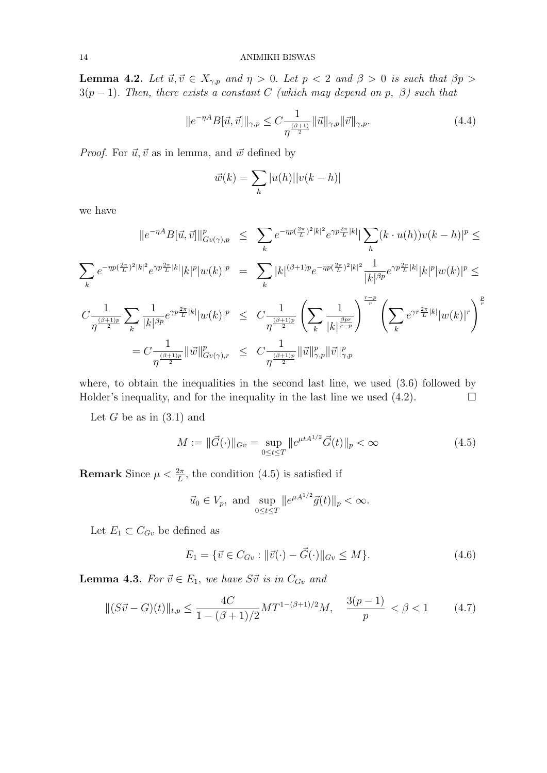**Lemma 4.2.** Let  $\vec{u}, \vec{v} \in X_{\gamma,p}$  and  $\eta > 0$ . Let  $p < 2$  and  $\beta > 0$  is such that  $\beta p > 0$  $3(p-1)$ . Then, there exists a constant C (which may depend on p,  $\beta$ ) such that

$$
||e^{-\eta A}B[\vec{u},\vec{v}]||_{\gamma,p} \le C \frac{1}{\eta^{\frac{(\beta+1)}{2}}} ||\vec{u}||_{\gamma,p} ||\vec{v}||_{\gamma,p}.
$$
 (4.4)

*Proof.* For  $\vec{u}, \vec{v}$  as in lemma, and  $\vec{w}$  defined by

$$
\vec{w}(k) = \sum_{h} |u(h)| |v(k-h)|
$$

we have

$$
||e^{-\eta A}B[\vec{u},\vec{v}]||_{Gv(\gamma),p}^{p} \leq \sum_{k} e^{-\eta p (\frac{2\pi}{L})^{2}|k|^{2}} e^{\gamma p \frac{2\pi}{L}|k|} |\sum_{h} (k \cdot u(h))v(k-h)|^{p} \leq
$$
  

$$
\sum_{k} e^{-\eta p (\frac{2\pi}{L})^{2}|k|^{2}} e^{\gamma p \frac{2\pi}{L}|k|} |k|^{p} |w(k)|^{p} = \sum_{k} |k|^{(\beta+1)p} e^{-\eta p (\frac{2\pi}{L})^{2}|k|^{2}} \frac{1}{|k|^{\beta p}} e^{\gamma p \frac{2\pi}{L}|k|} |k|^{p} |w(k)|^{p} \leq
$$
  

$$
C \frac{1}{\eta^{\frac{(\beta+1)p}{2}}} \sum_{k} \frac{1}{|k|^{\beta p}} e^{\gamma p \frac{2\pi}{L}|k|} |w(k)|^{p} \leq C \frac{1}{\eta^{\frac{(\beta+1)p}{2}}} \left( \sum_{k} \frac{1}{|k|^{\frac{\beta p r}{r-p}}} \right)^{\frac{r-p}{r}} \left( \sum_{k} e^{\gamma r \frac{2\pi}{L}|k|} |w(k)|^{r} \right)^{\frac{p}{r}}
$$
  

$$
= C \frac{1}{\eta^{\frac{(\beta+1)p}{2}}} ||\vec{w}||_{Gv(\gamma),r}^{p} \leq C \frac{1}{\eta^{\frac{(\beta+1)p}{2}}} ||\vec{u}||_{\gamma,p}^{p} ||\vec{v}||_{\gamma,p}^{p}
$$

where, to obtain the inequalities in the second last line, we used  $(3.6)$  followed by Holder's inequality, and for the inequality in the last line we used  $(4.2)$ .

Let G be as in  $(3.1)$  and

$$
M := \|\vec{G}(\cdot)\|_{Gv} = \sup_{0 \le t \le T} \|e^{\mu t A^{1/2}} \vec{G}(t)\|_{p} < \infty
$$
\n(4.5)

**Remark** Since  $\mu < \frac{2\pi}{L}$ , the condition (4.5) is satisfied if

$$
\vec{u}_0 \in V_p
$$
, and  $\sup_{0 \le t \le T} ||e^{\mu A^{1/2}} \vec{g}(t)||_p < \infty$ .

Let  $E_1 \subset C_{Gv}$  be defined as

$$
E_1 = \{ \vec{v} \in C_{Gv} : ||\vec{v}(\cdot) - \vec{G}(\cdot)||_{Gv} \le M \}.
$$
\n(4.6)

**Lemma 4.3.** For  $\vec{v} \in E_1$ , we have  $S\vec{v}$  is in  $C_{Gv}$  and

$$
\|(S\vec{v} - G)(t)\|_{t,p} \le \frac{4C}{1 - (\beta + 1)/2} MT^{1 - (\beta + 1)/2}M, \quad \frac{3(p-1)}{p} < \beta < 1 \tag{4.7}
$$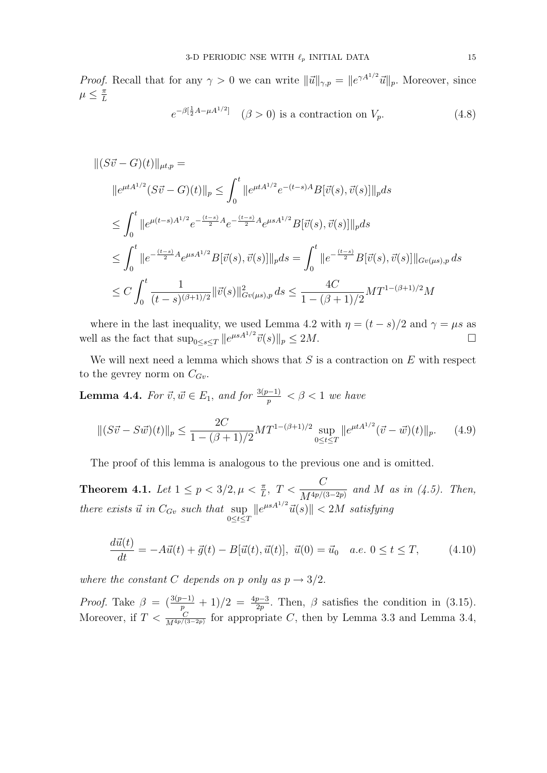*Proof.* Recall that for any  $\gamma > 0$  we can write  $\|\vec{u}\|_{\gamma,p} = \|e^{\gamma A^{1/2}}\vec{u}\|_p$ . Moreover, since  $\mu \leq \frac{\pi}{l}$ L

$$
e^{-\beta[\frac{1}{2}A - \mu A^{1/2}]} \quad (\beta > 0) \text{ is a contraction on } V_p. \tag{4.8}
$$

$$
\begin{split}\n\|(S\vec{v} - G)(t)\|_{\mu t, p} &= \\
\|e^{\mu t A^{1/2}} (S\vec{v} - G)(t)\|_{p} &\leq \int_{0}^{t} \|e^{\mu t A^{1/2}} e^{-(t-s)A} B[\vec{v}(s), \vec{v}(s)]\|_{p} ds \\
&\leq \int_{0}^{t} \|e^{\mu (t-s)A^{1/2}} e^{-\frac{(t-s)}{2}A} e^{-\frac{(t-s)}{2}A} e^{\mu s A^{1/2}} B[\vec{v}(s), \vec{v}(s)]\|_{p} ds \\
&\leq \int_{0}^{t} \|e^{-\frac{(t-s)}{2}A} e^{\mu s A^{1/2}} B[\vec{v}(s), \vec{v}(s)]\|_{p} ds = \int_{0}^{t} \|e^{-\frac{(t-s)}{2}B}[\vec{v}(s), \vec{v}(s)]\|_{Gv(\mu s), p} ds \\
&\leq C \int_{0}^{t} \frac{1}{(t-s)^{(\beta+1)/2}} \|\vec{v}(s)\|_{Gv(\mu s), p}^{2} ds \leq \frac{4C}{1 - (\beta+1)/2} MT^{1 - (\beta+1)/2} M\n\end{split}
$$

where in the last inequality, we used Lemma 4.2 with  $\eta = (t - s)/2$  and  $\gamma = \mu s$  as well as the fact that  $\sup_{0 \le s \le T} ||e^{\mu s A^{1/2}} \vec{v}(s)||_p \le 2M.$ 

We will next need a lemma which shows that  $S$  is a contraction on  $E$  with respect to the gevrey norm on  $C_{Gv}$ .

**Lemma 4.4.** For  $\vec{v}, \vec{w} \in E_1$ , and for  $\frac{3(p-1)}{p} < \beta < 1$  we have

$$
\|(S\vec{v} - S\vec{w})(t)\|_{p} \le \frac{2C}{1 - (\beta + 1)/2} MT^{1 - (\beta + 1)/2} \sup_{0 \le t \le T} \|e^{\mu t A^{1/2}} (\vec{v} - \vec{w})(t)\|_{p}.
$$
 (4.9)

The proof of this lemma is analogous to the previous one and is omitted.

Theorem 4.1. Let  $1 \le p < 3/2, \mu < \frac{\pi}{L}, \ T < \frac{C}{M^{4p/l}}$  $\frac{C}{M^{4p/(3-2p)}}$  and M as in (4.5). Then, there exists  $\vec{u}$  in  $C_{Gv}$  such that  $\sup_{0 \leq t \leq T}$  $\|e^{\mu s A^{1/2}}\vec{u}(s)\| < 2M$  satisfying

$$
\frac{d\vec{u}(t)}{dt} = -A\vec{u}(t) + \vec{g}(t) - B[\vec{u}(t), \vec{u}(t)], \ \vec{u}(0) = \vec{u}_0 \quad a.e. \ 0 \le t \le T,\tag{4.10}
$$

where the constant C depends on p only as  $p \rightarrow 3/2$ .

*Proof.* Take  $\beta = \left(\frac{3(p-1)}{p} + 1\right)/2 = \frac{4p-3}{2p}$ . Then,  $\beta$  satisfies the condition in (3.15). Moreover, if  $T < \frac{C}{M^{4p/(3-2p)}}$  for appropriate C, then by Lemma 3.3 and Lemma 3.4,